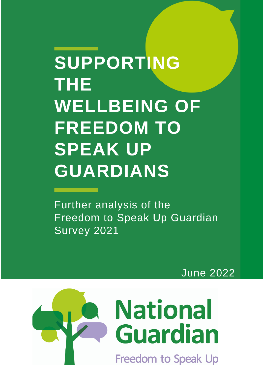# **Supporting the WELLBERGER SUPPORTIN** THE<br>WELLBEING OF **FREEDOM TO Further analysis of the Freedom to SPEAK UP Guardian Speak** *GUARDIANS*

Further analysis of the Freedom to Speak Up Guardian **Survey 2021** 

**June 2022**

**June 2022** 

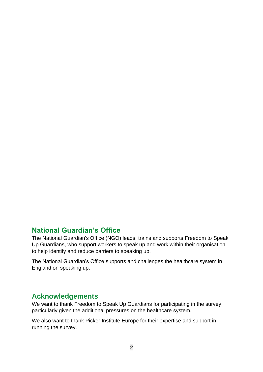# **National Guardian's Office**

The National Guardian's Office (NGO) leads, trains and supports Freedom to Speak Up Guardians, who support workers to speak up and work within their organisation to help identify and reduce barriers to speaking up.

The National Guardian's Office supports and challenges the healthcare system in England on speaking up.

### **Acknowledgements**

We want to thank Freedom to Speak Up Guardians for participating in the survey, particularly given the additional pressures on the healthcare system.

We also want to thank Picker Institute Europe for their expertise and support in running the survey.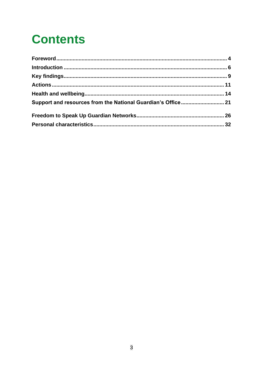# **Contents**

| Support and resources from the National Guardian's Office 21 |  |
|--------------------------------------------------------------|--|
|                                                              |  |
|                                                              |  |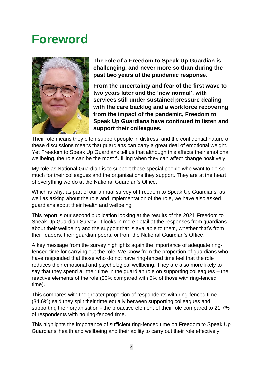# <span id="page-3-0"></span>**Foreword**



**The role of a Freedom to Speak Up Guardian is challenging, and never more so than during the past two years of the pandemic response.**

**From the uncertainty and fear of the first wave to two years later and the 'new normal', with services still under sustained pressure dealing with the care backlog and a workforce recovering from the impact of the pandemic, Freedom to Speak Up Guardians have continued to listen and support their colleagues.** 

Their role means they often support people in distress, and the confidential nature of these discussions means that guardians can carry a great deal of emotional weight. Yet Freedom to Speak Up Guardians tell us that although this affects their emotional wellbeing, the role can be the most fulfilling when they can affect change positively.

My role as National Guardian is to support these special people who want to do so much for their colleagues and the organisations they support. They are at the heart of everything we do at the National Guardian's Office.

Which is why, as part of our annual survey of Freedom to Speak Up Guardians, as well as asking about the role and implementation of the role, we have also asked guardians about their health and wellbeing.

This report is our second publication looking at the results of the 2021 Freedom to Speak Up Guardian Survey. It looks in more detail at the responses from guardians about their wellbeing and the support that is available to them, whether that's from their leaders, their guardian peers, or from the National Guardian's Office.

A key message from the survey highlights again the importance of adequate ringfenced time for carrying out the role. We know from the proportion of guardians who have responded that those who do not have ring-fenced time feel that the role reduces their emotional and psychological wellbeing. They are also more likely to say that they spend all their time in the guardian role on supporting colleagues – the reactive elements of the role (20% compared with 5% of those with ring-fenced time).

This compares with the greater proportion of respondents with ring-fenced time (34.6%) said they split their time equally between supporting colleagues and supporting their organisation - the proactive element of their role compared to 21.7% of respondents with no ring-fenced time.

This highlights the importance of sufficient ring-fenced time on Freedom to Speak Up Guardians' health and wellbeing and their ability to carry out their role effectively.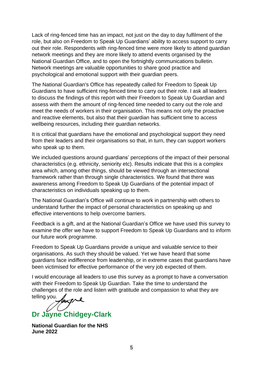Lack of ring-fenced time has an impact, not just on the day to day fulfilment of the role, but also on Freedom to Speak Up Guardians' ability to access support to carry out their role. Respondents with ring-fenced time were more likely to attend guardian network meetings and they are more likely to attend events organised by the National Guardian Office, and to open the fortnightly communications bulletin. Network meetings are valuable opportunities to share good practice and psychological and emotional support with their guardian peers.

The National Guardian's Office has repeatedly called for Freedom to Speak Up Guardians to have sufficient ring-fenced time to carry out their role. I ask all leaders to discuss the findings of this report with their Freedom to Speak Up Guardian and assess with them the amount of ring-fenced time needed to carry out the role and meet the needs of workers in their organisation. This means not only the proactive and reactive elements, but also that their guardian has sufficient time to access wellbeing resources, including their guardian networks.

It is critical that guardians have the emotional and psychological support they need from their leaders and their organisations so that, in turn, they can support workers who speak up to them.

We included questions around guardians' perceptions of the impact of their personal characteristics (e.g. ethnicity, seniority etc). Results indicate that this is a complex area which, among other things, should be viewed through an intersectional framework rather than through single characteristics. We found that there was awareness among Freedom to Speak Up Guardians of the potential impact of characteristics on individuals speaking up to them.

The National Guardian's Office will continue to work in partnership with others to understand further the impact of personal characteristics on speaking up and effective interventions to help overcome barriers.

Feedback is a gift, and at the National Guardian's Office we have used this survey to examine the offer we have to support Freedom to Speak Up Guardians and to inform our future work programme.

Freedom to Speak Up Guardians provide a unique and valuable service to their organisations. As such they should be valued. Yet we have heard that some guardians face indifference from leadership, or in extreme cases that guardians have been victimised for effective performance of the very job expected of them.

I would encourage all leaders to use this survey as a prompt to have a conversation with their Freedom to Speak Up Guardian. Take the time to understand the challenges of the role and listen with gratitude and compassion to what they are telling you.

**Dr Jayne Chidgey-Clark**

**National Guardian for the NHS June 2022**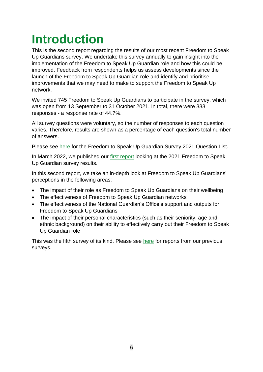# <span id="page-5-0"></span>**Introduction**

This is the second report regarding the results of our most recent Freedom to Speak Up Guardians survey. We undertake this survey annually to gain insight into the implementation of the Freedom to Speak Up Guardian role and how this could be improved. Feedback from respondents helps us assess developments since the launch of the Freedom to Speak Up Guardian role and identify and prioritise improvements that we may need to make to support the Freedom to Speak Up network.

We invited 745 Freedom to Speak Up Guardians to participate in the survey, which was open from 13 September to 31 October 2021. In total, there were 333 responses - a response rate of 44.7%.

All survey questions were voluntary, so the number of responses to each question varies. Therefore, results are shown as a percentage of each question's total number of answers.

Please see [here](https://nationalguardian.org.uk/wp-content/uploads/2022/03/FTSUG-Survey-2021-Questions.pdf) for the Freedom to Speak Up Guardian Survey 2021 Question List.

In March 2022, we published our [first report](https://nationalguardian.org.uk/wp-content/uploads/2022/03/2021-FTSUGuardian-Survey-Report.pdf) looking at the 2021 Freedom to Speak Up Guardian survey results.

In this second report, we take an in-depth look at Freedom to Speak Up Guardians' perceptions in the following areas:

- The impact of their role as Freedom to Speak Up Guardians on their wellbeing
- The effectiveness of Freedom to Speak Up Guardian networks
- The effectiveness of the National Guardian's Office's support and outputs for Freedom to Speak Up Guardians
- The impact of their personal characteristics (such as their seniority, age and ethnic background) on their ability to effectively carry out their Freedom to Speak Up Guardian role

This was the fifth survey of its kind. Please see [here](https://nationalguardian.org.uk/learning-resources/speaking-up-data/surveys/) for reports from our previous surveys.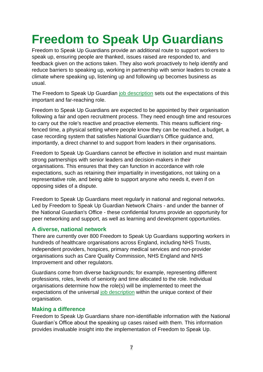# **Freedom to Speak Up Guardians**

Freedom to Speak Up Guardians provide an additional route to support workers to speak up, ensuring people are thanked, issues raised are responded to, and feedback given on the actions taken. They also work proactively to help identify and reduce barriers to speaking up, working in partnership with senior leaders to create a climate where speaking up, listening up and following up becomes business as usual.

The Freedom to Speak Up Guardian [job description](https://nationalguardian.org.uk/for-guardians/job-description/) sets out the expectations of this important and far-reaching role.

Freedom to Speak Up Guardians are expected to be appointed by their organisation following a fair and open recruitment process. They need enough time and resources to carry out the role's reactive and proactive elements. This means sufficient ringfenced time, a physical setting where people know they can be reached, a budget, a case recording system that satisfies National Guardian's Office guidance and, importantly, a direct channel to and support from leaders in their organisations.

Freedom to Speak Up Guardians cannot be effective in isolation and must maintain strong partnerships with senior leaders and decision-makers in their organisations. This ensures that they can function in accordance with role expectations, such as retaining their impartiality in investigations, not taking on a representative role, and being able to support anyone who needs it, even if on opposing sides of a dispute.

Freedom to Speak Up Guardians meet regularly in national and regional networks. Led by Freedom to Speak Up Guardian Network Chairs - and under the banner of the National Guardian's Office - these confidential forums provide an opportunity for peer networking and support, as well as learning and development opportunities.

#### **A diverse, national network**

There are currently over 800 Freedom to Speak Up Guardians supporting workers in hundreds of healthcare organisations across England, including NHS Trusts, independent providers, hospices, primary medical services and non-provider organisations such as Care Quality Commission, NHS England and NHS Improvement and other regulators.

Guardians come from diverse backgrounds; for example, representing different professions, roles, levels of seniority and time allocated to the role. Individual organisations determine how the role(s) will be implemented to meet the expectations of the universal [job description](https://nationalguardian.org.uk/for-guardians/job-description/) within the unique context of their organisation.

#### **Making a difference**

Freedom to Speak Up Guardians share non-identifiable information with the National Guardian's Office about the speaking up cases raised with them. This information provides invaluable insight into the implementation of Freedom to Speak Up.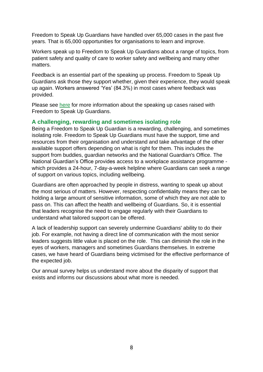Freedom to Speak Up Guardians have handled over 65,000 cases in the past five years. That is 65,000 opportunities for organisations to learn and improve.

Workers speak up to Freedom to Speak Up Guardians about a range of topics, from patient safety and quality of care to worker safety and wellbeing and many other matters.

Feedback is an essential part of the speaking up process. Freedom to Speak Up Guardians ask those they support whether, given their experience, they would speak up again. Workers answered 'Yes' (84.3%) in most cases where feedback was provided.

Please see [here](https://nationalguardian.org.uk/speaking-up/what-is-speaking-up/) for more information about the speaking up cases raised with Freedom to Speak Up Guardians.

#### **A challenging, rewarding and sometimes isolating role**

Being a Freedom to Speak Up Guardian is a rewarding, challenging, and sometimes isolating role. Freedom to Speak Up Guardians must have the support, time and resources from their organisation and understand and take advantage of the other available support offers depending on what is right for them. This includes the support from buddies, guardian networks and the National Guardian's Office. The National Guardian's Office provides access to a workplace assistance programme which provides a 24-hour, 7-day-a-week helpline where Guardians can seek a range of support on various topics, including wellbeing.

Guardians are often approached by people in distress, wanting to speak up about the most serious of matters. However, respecting confidentiality means they can be holding a large amount of sensitive information, some of which they are not able to pass on. This can affect the health and wellbeing of Guardians. So, it is essential that leaders recognise the need to engage regularly with their Guardians to understand what tailored support can be offered.

A lack of leadership support can severely undermine Guardians' ability to do their job. For example, not having a direct line of communication with the most senior leaders suggests little value is placed on the role. This can diminish the role in the eyes of workers, managers and sometimes Guardians themselves. In extreme cases, we have heard of Guardians being victimised for the effective performance of the expected job.

Our annual survey helps us understand more about the disparity of support that exists and informs our discussions about what more is needed.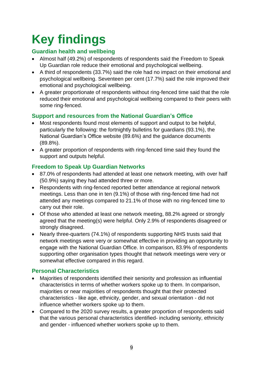# <span id="page-8-0"></span>**Key findings**

#### **Guardian health and wellbeing**

- Almost half (49.2%) of respondents of respondents said the Freedom to Speak Up Guardian role reduce their emotional and psychological wellbeing.
- A third of respondents (33.7%) said the role had no impact on their emotional and psychological wellbeing. Seventeen per cent (17.7%) said the role improved their emotional and psychological wellbeing.
- A greater proportionate of respondents without ring-fenced time said that the role reduced their emotional and psychological wellbeing compared to their peers with some ring-fenced.

#### **Support and resources from the National Guardian's Office**

- Most respondents found most elements of support and output to be helpful, particularly the following: the fortnightly bulletins for guardians (93.1%), the National Guardian's Office website (89.6%) and the guidance documents (89.8%).
- A greater proportion of respondents with ring-fenced time said they found the support and outputs helpful.

#### **Freedom to Speak Up Guardian Networks**

- 87.0% of respondents had attended at least one network meeting, with over half (50.9%) saying they had attended three or more.
- Respondents with ring-fenced reported better attendance at regional network meetings. Less than one in ten (9.1%) of those with ring-fenced time had not attended any meetings compared to 21.1% of those with no ring-fenced time to carry out their role.
- Of those who attended at least one network meeting, 88.2% agreed or strongly agreed that the meeting(s) were helpful. Only 2.9% of respondents disagreed or strongly disagreed.
- Nearly three-quarters (74.1%) of respondents supporting NHS trusts said that network meetings were very or somewhat effective in providing an opportunity to engage with the National Guardian Office. In comparison, 83.9% of respondents supporting other organisation types thought that network meetings were very or somewhat effective compared in this regard.

#### **Personal Characteristics**

- Majorities of respondents identified their seniority and profession as influential characteristics in terms of whether workers spoke up to them. In comparison, majorities or near majorities of respondents thought that their protected characteristics - like age, ethnicity, gender, and sexual orientation - did not influence whether workers spoke up to them.
- Compared to the 2020 survey results, a greater proportion of respondents said that the various personal characteristics identified- including seniority, ethnicity and gender - influenced whether workers spoke up to them.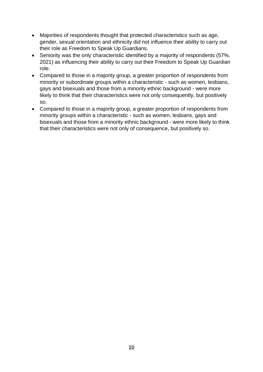- Majorities of respondents thought that protected characteristics such as age, gender, sexual orientation and ethnicity did not influence their ability to carry out their role as Freedom to Speak Up Guardians.
- Seniority was the only characteristic identified by a majority of respondents (57%, 2021) as influencing their ability to carry out their Freedom to Speak Up Guardian role.
- Compared to those in a majority group, a greater proportion of respondents from minority or subordinate groups within a characteristic - such as women, lesbians, gays and bisexuals and those from a minority ethnic background - were more likely to think that their characteristics were not only consequently, but positively so.
- Compared to those in a majority group, a greater proportion of respondents from minority groups within a characteristic - such as women, lesbians, gays and bisexuals and those from a minority ethnic background - were more likely to think that their characteristics were not only of consequence, but positively so.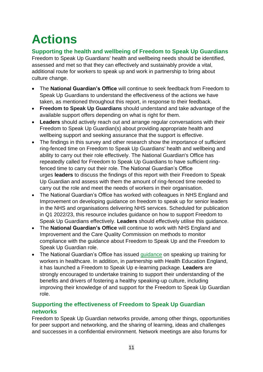# <span id="page-10-0"></span>**Actions**

### **Supporting the health and wellbeing of Freedom to Speak Up Guardians**

Freedom to Speak Up Guardians' health and wellbeing needs should be identified, assessed and met so that they can effectively and sustainably provide a vital, additional route for workers to speak up and work in partnership to bring about culture change.

- The **National Guardian's Office** will continue to seek feedback from Freedom to Speak Up Guardians to understand the effectiveness of the actions we have taken, as mentioned throughout this report, in response to their feedback.
- **Freedom to Speak Up Guardians** should understand and take advantage of the available support offers depending on what is right for them.
- **Leaders** should actively reach out and arrange regular conversations with their Freedom to Speak Up Guardian(s) about providing appropriate health and wellbeing support and seeking assurance that the support is effective.
- The findings in this survey and other research show the importance of sufficient ring-fenced time on Freedom to Speak Up Guardians' health and wellbeing and ability to carry out their role effectively. The National Guardian's Office has repeatedly called for Freedom to Speak Up Guardians to have sufficient ringfenced time to carry out their role. The National Guardian's Office urges **leaders** to discuss the findings of this report with their Freedom to Speak Up Guardian and assess with them the amount of ring-fenced time needed to carry out the role and meet the needs of workers in their organisation.
- The National Guardian's Office has worked with colleagues in NHS England and Improvement on developing guidance on freedom to speak up for senior leaders in the NHS and organisations delivering NHS services. Scheduled for publication in Q1 2022/23, this resource includes guidance on how to support Freedom to Speak Up Guardians effectively. **Leaders** should effectively utilise this guidance.
- The **National Guardian's Office** will continue to work with NHS England and Improvement and the Care Quality Commission on methods to monitor compliance with the guidance about Freedom to Speak Up and the Freedom to Speak Up Guardian role.
- The National Guardian's Office has issued [guidance](https://nationalguardian.org.uk/wp-content/uploads/2021/04/20190812-National-guidelines-on-FTSU-training.pdf) on speaking up training for workers in healthcare. In addition, in partnership with Health Education England, it has launched a Freedom to Speak Up e-learning package. **Leaders** are strongly encouraged to undertake training to support their understanding of the benefits and drivers of fostering a healthy speaking-up culture, including improving their knowledge of and support for the Freedom to Speak Up Guardian role.

### **Supporting the effectiveness of Freedom to Speak Up Guardian networks**

Freedom to Speak Up Guardian networks provide, among other things, opportunities for peer support and networking, and the sharing of learning, ideas and challenges and successes in a confidential environment. Network meetings are also forums for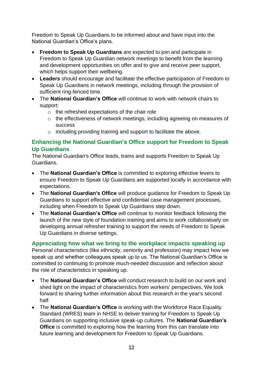Freedom to Speak Up Guardians to be informed about and have input into the National Guardian's Office's plans.

- **Freedom to Speak Up Guardians** are expected to join and participate in Freedom to Speak Up Guardian network meetings to benefit from the learning and development opportunities on offer and to give and receive peer support, which helps support their wellbeing.
- **Leaders** should encourage and facilitate the effective participation of Freedom to Speak Up Guardians in network meetings, including through the provision of sufficient ring-fenced time.
- The **National Guardian's Office** will continue to work with network chairs to support:
	- $\circ$  the refreshed expectations of the chair role
	- o the effectiveness of network meetings, including agreeing on measures of success
	- o including providing training and support to facilitate the above.

#### **Enhancing the National Guardian's Office support for Freedom to Speak Up Guardians**

The National Guardian's Office leads, trains and supports Freedom to Speak Up Guardians.

- The **National Guardian's Office** is committed to exploring effective levers to ensure Freedom to Speak Up Guardians are supported locally in accordance with expectations.
- The **National Guardian's Office** will produce guidance for Freedom to Speak Up Guardians to support effective and confidential case management processes, including when Freedom to Speak Up Guardians step down.
- The **National Guardian's Office** will continue to monitor feedback following the launch of the new style of foundation training and aims to work collaboratively on developing annual refresher training to support the needs of Freedom to Speak Up Guardians in diverse settings.

### **Appreciating how what we bring to the workplace impacts speaking up**

Personal characteristics (like ethnicity, seniority and profession) may impact how we speak up and whether colleagues speak up to us. The National Guardian's Office is committed to continuing to promote much-needed discussion and reflection about the role of characteristics in speaking up.

- The **National Guardian's Office** will conduct research to build on our work and shed light on the impact of characteristics from workers' perspectives. We look forward to sharing further information about this research in the year's second half.
- The **National Guardian's Office** is working with the Workforce Race Equality Standard (WRES) team in NHSE to deliver training for Freedom to Speak Up Guardians on supporting inclusive speak-up cultures. The **National Guardian's Office** is committed to exploring how the learning from this can translate into future learning and development for Freedom to Speak Up Guardians.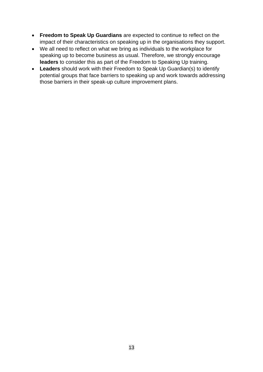- **Freedom to Speak Up Guardians** are expected to continue to reflect on the impact of their characteristics on speaking up in the organisations they support.
- We all need to reflect on what we bring as individuals to the workplace for speaking up to become business as usual. Therefore, we strongly encourage **leaders** to consider this as part of the Freedom to Speaking Up training.
- **Leaders** should work with their Freedom to Speak Up Guardian(s) to identify potential groups that face barriers to speaking up and work towards addressing those barriers in their speak-up culture improvement plans.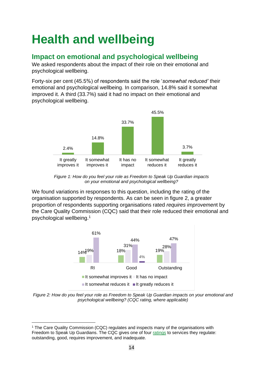# <span id="page-13-0"></span>**Health and wellbeing**

# **Impact on emotional and psychological wellbeing**

We asked respondents about the impact of their role on their emotional and psychological wellbeing.

Forty-six per cent (45.5%) of respondents said the role '*somewhat reduced'* their emotional and psychological wellbeing. In comparison, 14.8% said it somewhat improved it. A third (33.7%) said it had no impact on their emotional and psychological wellbeing.



*Figure 1: How do you feel your role as Freedom to Speak Up Guardian impacts on your emotional and psychological wellbeing?*

We found variations in responses to this question, including the rating of the organisation supported by respondents. As can be seen in figure 2, a greater proportion of respondents supporting organisations rated *requires improvemen*t by the Care Quality Commission (CQC) said that their role reduced their emotional and psychological wellbeing.<sup>1</sup>



*Figure 2: How do you feel your role as Freedom to Speak Up Guardian impacts on your emotional and psychological wellbeing? (CQC rating, where applicable)*

<sup>&</sup>lt;sup>1</sup> The Care Quality Commission (CQC) regulates and inspects many of the organisations with Freedom to Speak Up Guardians. The CQC gives one of four [ratings](https://www.cqc.org.uk/what-we-do/how-we-do-our-job/ratings) to services they regulate: outstanding, good, requires improvement, and inadequate.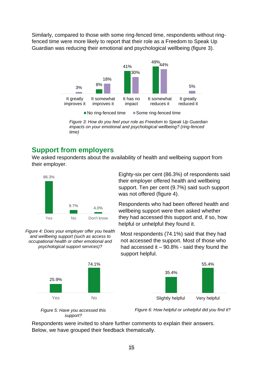Similarly, compared to those with some ring-fenced time, respondents without ringfenced time were more likely to report that their role as a Freedom to Speak Up Guardian was reducing their emotional and psychological wellbeing (figure 3).



*Figure 3: How do you feel your role as Freedom to Speak Up Guardian impacts on your emotional and psychological wellbeing? (ring-fenced time)*

# **Support from employers**

We asked respondents about the availability of health and wellbeing support from their employer.



*Figure 4: Does your employer offer you health and wellbeing support (such as access to occupational health or other emotional and psychological support services)?*



Eighty-six per cent (86.3%) of respondents said their employer offered health and wellbeing support. Ten per cent (9.7%) said such support was not offered (figure 4).

Respondents who had been offered health and wellbeing support were then asked whether they had accessed this support and, if so, how helpful or unhelpful they found it.

Most respondents (74.1%) said that they had not accessed the support. Most of those who had accessed it  $-90.8%$  - said they found the support helpful.



*support?*

*Figure* 5: Have you accessed this **Figure** 6: How helpful or unhelpful did you find it?

Respondents were invited to share further comments to explain their answers. Below, we have grouped their feedback thematically.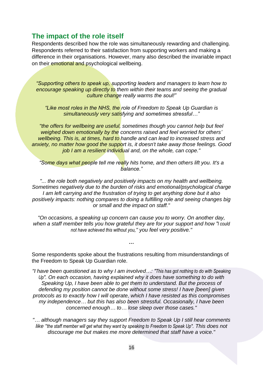## **The impact of the role itself**

Respondents described how the role was simultaneously rewarding and challenging. Respondents referred to their satisfaction from supporting workers and making a difference in their organisations. However, many also described the invariable impact on their emotional and psychological wellbeing.

*"Supporting others to speak up, supporting leaders and managers to learn how to encourage speaking up directly to them within their teams and seeing the gradual culture change really warms the soul!"*

*"Like most roles in the NHS, the role of Freedom to Speak Up Guardian is simultaneously very satisfying and sometimes stressful…"*

*"the offers for wellbeing are useful, sometimes though you cannot help but feel weighed down emotionally by the concerns raised and feel worried for others' wellbeing. This is, at times, hard to handle and can lead to increased stress and anxiety, no matter how good the support is, it doesn't take away those feelings. Good job I am a resilient individual and, on the whole, can cope."*

*"Some days what people tell me really hits home, and then others lift you. It's a balance."*

*"... the role both negatively and positively impacts on my health and wellbeing. Sometimes negatively due to the burden of risks and emotional/psychological charge I am left carrying and the frustration of trying to get anything done but it also positively impacts: nothing compares to doing a fulfilling role and seeing changes big or small and the impact on staff."*

*"On occasions, a speaking up concern can cause you to worry. On another day, when a staff member tells you how grateful they are for your support and how "I could not have achieved this without you," you feel very positive."*

Some respondents spoke about the frustrations resulting from misunderstandings of the Freedom to Speak Up Guardian role.

*…*

*"I have been questioned as to why I am involved…: "This has got nothing to do with Speaking Up". On each occasion, having explained why it does have something to do with Speaking Up, I have been able to get them to understand. But the process of defending my position cannot be done without some stress! I have [been] given protocols as to exactly how I will operate, which I have resisted as this compromises my independence… but this has also been stressful. Occasionally, I have been concerned enough… to… lose sleep over those cases."*

*"… although managers say they support Freedom to Speak Up I still hear comments like "the staff member will get what they want by speaking to Freedom to Speak Up". This does not discourage me but makes me more determined that staff have a voice."*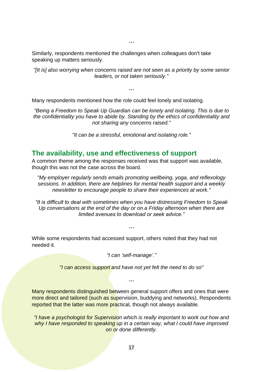Similarly, respondents mentioned the challenges when colleagues don't take speaking up matters seriously.

*"[It is] also worrying when concerns raised are not seen as a priority by some senior leaders, or not taken seriously."*

*…*

*…*

Many respondents mentioned how the role could feel lonely and isolating.

*"Being a Freedom to Speak Up Guardian can be lonely and isolating. This is due to the confidentiality you have to abide by. Standing by the ethics of confidentiality and not sharing any concerns raised."*

*"It can be a stressful, emotional and isolating role."*

### **The availability, use and effectiveness of support**

A common theme among the responses received was that support was available, though this was not the case across the board.

*"My employer regularly sends emails promoting wellbeing, yoga, and reflexology sessions. In addition, there are helplines for mental health support and a weekly newsletter to encourage people to share their experiences at work."*

*"It is difficult to deal with sometimes when you have distressing Freedom to Speak Up conversations at the end of the day or on a Friday afternoon when there are limited avenues to download or seek advice."*

*…*

While some respondents had accessed support, others noted that they had not needed it.

*"I can 'self-manage'."*

*"I can access support and have not yet felt the need to do so"*

*…*

Many respondents distinguished between general support offers and ones that were more direct and tailored (such as supervision, buddying and networks). Respondents reported that the latter was more practical, though not always available.

*"I have a psychologist for Supervision which is really important to work out how and why I have responded to speaking up in a certain way, what I could have improved on or done differently.*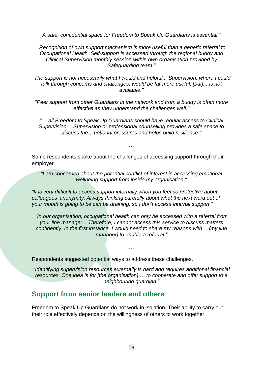*A safe, confidential space for Freedom to Speak Up Guardians is essential."*

*"Recognition of own support mechanism is more useful than a generic referral to Occupational Health. Self-support is accessed through the regional buddy and Clinical Supervision monthly session within own organisation provided by Safeguarding team."*

*"The support is not necessarily what I would find helpful... Supervision, where I could talk through concerns and challenges, would be far more useful, [but]... is not available."*

*"Peer support from other Guardians in the network and from a buddy is often more effective as they understand the challenges well."*

*"… all Freedom to Speak Up Guardians should have regular access to Clinical Supervision… Supervision or professional counselling provides a safe space to discuss the emotional pressures and helps build resilience."*

*…*

Some respondents spoke about the challenges of accessing support through their employer.

*"I am concerned about the potential conflict of interest in accessing emotional wellbeing support from inside my organisation."*

*"It is very difficult to access support internally when you feel so protective about colleagues' anonymity. Always thinking carefully about what the next word out of your mouth is going to be can be draining, so I don't access internal support."*

*"In our organisation, occupational health can only be accessed with a referral from your line manager... Therefore, I cannot access this service to discuss matters confidently. In the first instance, I would need to share my reasons with… [my line manager] to enable a referral."*

*…*

Respondents suggested potential ways to address these challenges.

*"Identifying supervision resources externally is hard and requires additional financial resources. One idea is for [the organisation] … to cooperate and offer support to a neighbouring guardian."*

### **Support from senior leaders and others**

Freedom to Speak Up Guardians do not work in isolation. Their ability to carry out their role effectively depends on the willingness of others to work together.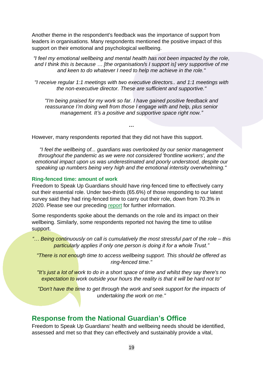Another theme in the respondent's feedback was the importance of support from leaders in organisations. Many respondents mentioned the positive impact of this support on their emotional and psychological wellbeing.

*"I feel my emotional wellbeing and mental health has not been impacted by the role, and I think this is because … [the organisation/s I support is] very supportive of me and keen to do whatever I need to help me achieve in the role."*

*"I receive regular 1:1 meetings with two executive directors.. and 1:1 meetings with the non-executive director. These are sufficient and supportive."*

*"I'm being praised for my work so far. I have gained positive feedback and reassurance I'm doing well from those I engage with and help, plus senior management. It's a positive and supportive space right now."*

*…*

However, many respondents reported that they did not have this support.

*"I feel the wellbeing of... guardians was overlooked by our senior management throughout the pandemic as we were not considered 'frontline workers', and the emotional impact upon us was underestimated and poorly understood, despite our speaking up numbers being very high and the emotional intensity overwhelming."*

#### **Ring-fenced time: amount of work**

Freedom to Speak Up Guardians should have ring-fenced time to effectively carry out their essential role. Under two-thirds (65.6%) of those responding to our latest survey said they had ring-fenced time to carry out their role, down from 70.3% in 2020. Please see our preceding [report](https://nationalguardian.org.uk/2022/03/31/2021-ftsu-guardian-survey/) for further information.

Some respondents spoke about the demands on the role and its impact on their wellbeing. Similarly, some respondents reported not having the time to utilise support.

*"… Being continuously on call is cumulatively the most stressful part of the role – this particularly applies if only one person is doing it for a whole Trust."*

*"There is not enough time to access wellbeing support. This should be offered as ring-fenced time."*

*"It's just a lot of work to do in a short space of time and whilst they say there's no expectation to work outside your hours the reality is that it will be hard not to"*

*"Don't have the time to get through the work and seek support for the impacts of undertaking the work on me."*

### **Response from the National Guardian's Office**

Freedom to Speak Up Guardians' health and wellbeing needs should be identified, assessed and met so that they can effectively and sustainably provide a vital,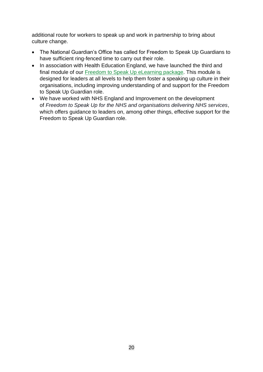additional route for workers to speak up and work in partnership to bring about culture change.

- The National Guardian's Office has called for Freedom to Speak Up Guardians to have sufficient ring-fenced time to carry out their role.
- In association with Health Education England, we have launched the third and final module of our [Freedom to Speak Up eLearning](https://www.e-lfh.org.uk/programmes/freedom-to-speak-up/) package. This module is designed for leaders at all levels to help them foster a speaking up culture in their organisations, including improving understanding of and support for the Freedom to Speak Up Guardian role.
- We have worked with NHS England and Improvement on the development of *Freedom to Speak Up for the NHS and organisations delivering NHS services*, which offers guidance to leaders on, among other things, effective support for the Freedom to Speak Up Guardian role.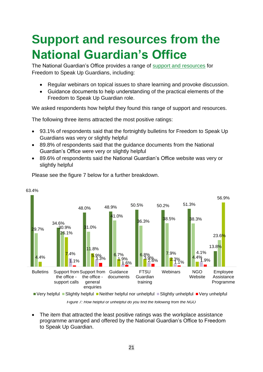# <span id="page-20-0"></span>**Support and resources from the National Guardian's Office**

The National Guardian's Office provides a range of [support and resources](https://nationalguardian.org.uk/for-guardians/) for Freedom to Speak Up Guardians, including:

- Regular webinars on topical issues to share learning and provoke discussion.
- Guidance documents to help understanding of the practical elements of the Freedom to Speak Up Guardian role.

We asked respondents how helpful they found this range of support and resources.

The following three items attracted the most positive ratings:

- 93.1% of respondents said that the fortnightly bulletins for Freedom to Speak Up Guardians was very or slightly helpful
- 89.8% of respondents said that the guidance documents from the National Guardian's Office were very or slightly helpful
- 89.6% of respondents said the National Guardian's Office website was very or slightly helpful



Please see the figure 7 below for a further breakdown.

63.4%

 $\blacksquare$  Very helpful  $\blacksquare$  Slightly helpful  $\blacksquare$  Neither helpful nor unhelpful  $\blacksquare$  Slightly unhelpful  $\blacksquare$  Very unhelpful

*Figure 7: How helpful or unhelpful do you find the following from the NGO*

• The item that attracted the least positive ratings was the workplace assistance programme arranged and offered by the National Guardian's Office to Freedom to Speak Up Guardian.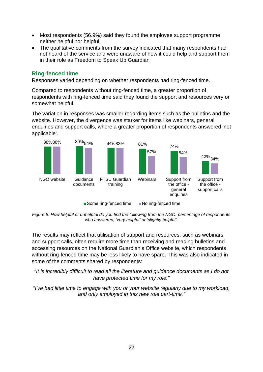- Most respondents (56.9%) said they found the employee support programme neither helpful nor helpful.
- The qualitative comments from the survey indicated that many respondents had not heard of the service and were unaware of how it could help and support them in their role as Freedom to Speak Up Guardian

#### **Ring-fenced time**

Responses varied depending on whether respondents had ring-fenced time.

Compared to respondents without ring-fenced time, a greater proportion of respondents with ring-fenced time said they found the support and resources very or somewhat helpful.

The variation in responses was smaller regarding items such as the bulletins and the website. However, the divergence was starker for items like webinars, general enquiries and support calls, where a greater proportion of respondents answered 'not applicable'.



*Figure 8: How helpful or unhelpful do you find the following from the NGO: percentage of respondents who answered, 'very helpful' or 'slightly helpful'.* 

The results may reflect that utilisation of support and resources, such as webinars and support calls, often require more time than receiving and reading bulletins and accessing resources on the National Guardian's Office website, which respondents without ring-fenced time may be less likely to have spare. This was also indicated in some of the comments shared by respondents:

*"It is incredibly difficult to read all the literature and guidance documents as I do not have protected time for my role."*

*"I've had little time to engage with you or your website regularly due to my workload, and only employed in this new role part-time."*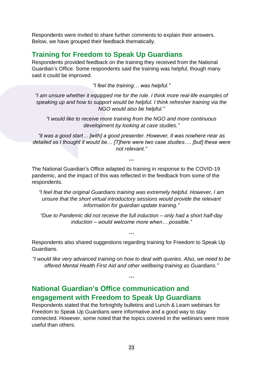Respondents were invited to share further comments to explain their answers. Below, we have grouped their feedback thematically.

# **Training for Freedom to Speak Up Guardians**

Respondents provided feedback on the training they received from the National Guardian's Office. Some respondents said the training was helpful, though many said it could be improved.

*"I feel the training… was helpful."*

*"I am unsure whether it equipped me for the role. I think more real-life examples of speaking up and how to support would be helpful. I think refresher training via the NGO would also be helpful."*

*"I would like to receive more training from the NGO and more continuous development by looking at case studies."*

*"it was a good start… [with] a good presenter. However, it was nowhere near as detailed as I thought it would be… [T]here were two case studies…. [but] these were not relevant."*

*…*

The National Guardian's Office adapted its training in response to the COVID-19 pandemic, and the impact of this was reflected in the feedback from some of the respondents.

*"I feel that the original Guardians training was extremely helpful. However, I am unsure that the short virtual introductory sessions would provide the relevant information for guardian update training."*

*"Due to Pandemic did not receive the full induction – only had a short half-day induction – would welcome more when… possible."*

*…*

Respondents also shared suggestions regarding training for Freedom to Speak Up Guardians.

*"I would like very advanced training on how to deal with queries. Also, we need to be offered Mental Health First Aid and other wellbeing training as Guardians."*

*…*

# **National Guardian's Office communication and engagement with Freedom to Speak Up Guardians**

Respondents stated that the fortnightly bulletins and Lunch & Learn webinars for Freedom to Speak Up Guardians were informative and a good way to stay connected. However, some noted that the topics covered in the webinars were more useful than others.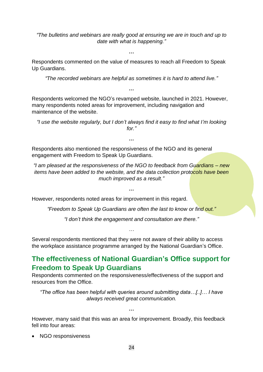*"The bulletins and webinars are really good at ensuring we are in touch and up to date with what is happening."*

**…**

Respondents commented on the value of measures to reach all Freedom to Speak Up Guardians.

*"The recorded webinars are helpful as sometimes it is hard to attend live."*

*…*

Respondents welcomed the NGO's revamped website, launched in 2021. However, many respondents noted areas for improvement, including navigation and maintenance of the website.

*"I use the website regularly, but I don't always find it easy to find what I'm looking for."*

*…*

Respondents also mentioned the responsiveness of the NGO and its general engagement with Freedom to Speak Up Guardians.

*"I am pleased at the responsiveness of the NGO to feedback from Guardians – new items have been added to the website, and the data collection protocols have been much improved as a result."*

*…*

However, respondents noted areas for improvement in this regard.

*"Freedom to Speak Up Guardians are often the last to know or find out."*

*"I don't think the engagement and consultation are there."*

*…*

Several respondents mentioned that they were not aware of their ability to access the workplace assistance programme arranged by the National Guardian's Office.

# **The effectiveness of National Guardian's Office support for Freedom to Speak Up Guardians**

Respondents commented on the responsiveness/effectiveness of the support and resources from the Office.

*"The office has been helpful with queries around submitting data…[..]… I have always received great communication.*

**…**

However, many said that this was an area for improvement. Broadly, this feedback fell into four areas:

• NGO responsiveness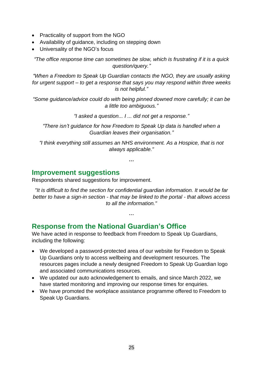- Practicality of support from the NGO
- Availability of guidance, including on stepping down
- Universality of the NGO's focus

*"The office response time can sometimes be slow, which is frustrating if it is a quick question/query."*

*"When a Freedom to Speak Up Guardian contacts the NGO, they are usually asking for urgent support – to get a response that says you may respond within three weeks is not helpful."*

*"Some guidance/advice could do with being pinned downed more carefully; it can be a little too ambiguous."*

*"I asked a question... I ... did not get a response."*

*"There isn't guidance for how Freedom to Speak Up data is handled when a Guardian leaves their organisation."*

*"I think everything still assumes an NHS environment. As a Hospice, that is not always applicable."*

*…*

### **Improvement suggestions**

Respondents shared suggestions for improvement.

*"It is difficult to find the section for confidential guardian information. It would be far better to have a sign-in section - that may be linked to the portal - that allows access to all the information."*

#### **…**

# **Response from the National Guardian's Office**

We have acted in response to feedback from Freedom to Speak Up Guardians, including the following:

- We developed a password-protected area of our website for Freedom to Speak Up Guardians only to access wellbeing and development resources. The resources pages include a newly designed Freedom to Speak Up Guardian logo and associated communications resources.
- We updated our auto acknowledgement to emails, and since March 2022, we have started monitoring and improving our response times for enquiries.
- We have promoted the workplace assistance programme offered to Freedom to Speak Up Guardians.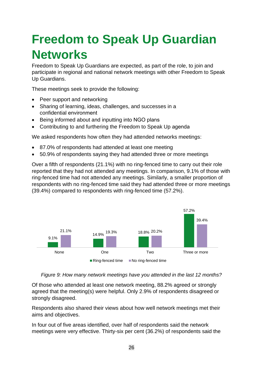# <span id="page-25-0"></span>**Freedom to Speak Up Guardian Networks**

Freedom to Speak Up Guardians are expected, as part of the role, to join and participate in regional and national network meetings with other Freedom to Speak Up Guardians.

These meetings seek to provide the following:

- Peer support and networking
- Sharing of learning, ideas, challenges, and successes in a confidential environment
- Being informed about and inputting into NGO plans
- Contributing to and furthering the Freedom to Speak Up agenda

We asked respondents how often they had attended networks meetings:

- 87.0% of respondents had attended at least one meeting
- 50.9% of respondents saying they had attended three or more meetings

Over a fifth of respondents (21.1%) with no ring-fenced time to carry out their role reported that they had not attended any meetings. In comparison, 9.1% of those with ring-fenced time had not attended any meetings. Similarly, a smaller proportion of respondents with no ring-fenced time said they had attended three or more meetings (39.4%) compared to respondents with ring-fenced time (57.2%).





Of those who attended at least one network meeting, 88.2% agreed or strongly agreed that the meeting(s) were helpful. Only 2.9% of respondents disagreed or strongly disagreed.

Respondents also shared their views about how well network meetings met their aims and objectives.

In four out of five areas identified, over half of respondents said the network meetings were very effective. Thirty-six per cent (36.2%) of respondents said the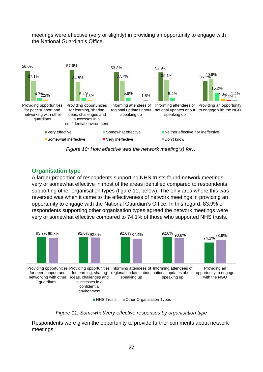

meetings were effective (very or slightly) in providing an opportunity to engage with the National Guardian's Office.

*Figure 10: How effective was the network meeting(s) for…*

#### **Organisation type**

A larger proportion of respondents supporting NHS trusts found network meetings very or somewhat effective in most of the areas identified compared to respondents supporting other organisation types (figure 11, below). The only area where this was reversed was when it came to the effectiveness of network meetings in providing an opportunity to engage with the National Guardian's Office. In this regard, 83.9% of respondents supporting other organisation types agreed the network meetings were very or somewhat effective compared to 74.1% of those who supported NHS trusts.



*Figure 11: Somewhat/very effective responses by organisation type*

Respondents were given the opportunity to provide further comments about network meetings.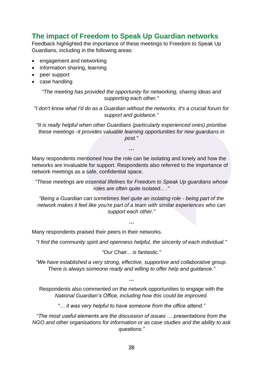# **The impact of Freedom to Speak Up Guardian networks**

Feedback highlighted the importance of these meetings to Freedom to Speak Up Guardians, including in the following areas:

- engagement and networking
- information sharing, learning
- peer support
- case handling

*"The meeting has provided the opportunity for networking, sharing ideas and supporting each other."*

*"I don't know what I'd do as a Guardian without the networks. It's a crucial forum for support and guidance."*

*"It is really helpful when other Guardians (particularly experienced ones) prioritise these meetings -it provides valuable learning opportunities for new guardians in post."*

Many respondents mentioned how the role can be isolating and lonely and how the networks are invaluable for support. Respondents also referred to the importance of network meetings as a safe, confidential space.

*…*

*"These meetings are essential lifelines for Freedom to Speak Up guardians whose roles are often quite isolated... ."*

*"Being a Guardian can sometimes feel quite an isolating role - being part of the network makes it feel like you're part of a team with similar experiences who can support each other."*

*…*

Many respondents praised their peers in their networks.

*"I find the community spirit and openness helpful, the sincerity of each individual."*

*"Our Chair... is fantastic."*

*"We have established a very strong, effective, supportive and collaborative group. There is always someone ready and willing to offer help and guidance."*

*…*

Respondents also commented on the network opportunities to engage with the *National Guardian's Office, including how this could be improved.*

*"… it was very helpful to have someone from the office attend."*

*"The most useful elements are the discussion of issues … presentations from the NGO and other organisations for information or as case studies and the ability to ask questions."*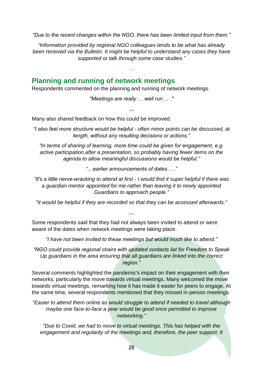*"Due to the recent changes within the NGO, there has been limited input from them."*

*"Information provided by regional NGO colleagues tends to be what has already been received via the Bulletin. It might be helpful to understand any cases they have supported or talk through some case studies."*

*…*

# **Planning and running of network meetings**

Respondents commented on the planning and running of network meetings.

*"Meetings are really … well run ... ."*

*…*

Many also shared feedback on how this could be improved.

*"I also feel more structure would be helpful - often minor points can be discussed, at length, without any resulting decisions or actions."*

*"In terms of sharing of learning, more time could be given for engagement, e.g. active participation after a presentation, so probably having fewer items on the agenda to allow meaningful discussions would be helpful."*

*"…earlier announcements of dates… ."*

*"It's a little nerve-wracking to attend at first - I would find it super helpful if there was a guardian mentor appointed for me rather than leaving it to newly appointed Guardians to approach people."*

*"It would be helpful if they are recorded so that they can be accessed afterwards."*

*…*

Some respondents said that they had not always been invited to attend or were aware of the dates when network meetings were taking place.

*"I have not been invited to these meetings but would much like to attend."*

*"NGO could provide regional chairs with updated contacts list for Freedom to Speak Up guardians in the area ensuring that all guardians are linked into the correct region."*

Several comments highlighted the pandemic's impact on their engagement with their networks, particularly the move towards virtual meetings. Many welcomed the move towards virtual meetings, remarking how it has made it easier for peers to engage. At the same time, several respondents mentioned that they missed in-person meetings.

*"Easier to attend them online as would struggle to attend if needed to travel although maybe one face-to-face a year would be good once permitted to improve networking."*

*"Due to Covid, we had to move to virtual meetings. This has helped with the*  engagement and regularity of the meetings and, therefore, the peer support. It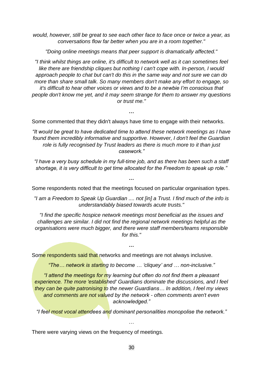*would, however, still be great to see each other face to face once or twice a year, as conversations flow far better when you are in a room together."*

*"Doing online meetings means that peer support is dramatically affected."*

*"I think whilst things are online, it's difficult to network well as it can sometimes feel like there are friendship cliques but nothing I can't cope with. In-person, I would approach people to chat but can't do this in the same way and not sure we can do more than share small talk. So many members don't make any effort to engage, so it's difficult to hear other voices or views and to be a newbie I'm conscious that people don't know me yet, and it may seem strange for them to answer my questions or trust me."*

Some commented that they didn't always have time to engage with their networks.

**…**

*"It would be great to have dedicated time to attend these network meetings as I have found them incredibly informative and supportive. However, I don't feel the Guardian role is fully recognised by Trust leaders as there is much more to it than just casework."*

*"I have a very busy schedule in my full-time job, and as there has been such a staff shortage, it is very difficult to get time allocated for the Freedom to speak up role."*

Some respondents noted that the meetings focused on particular organisation types.

*…*

*"I am a Freedom to Speak Up Guardian .... not [in] a Trust. I find much of the info is understandably biased towards acute trusts."*

*"I find the specific hospice network meetings most beneficial as the issues and challenges are similar. I did not find the regional network meetings helpful as the organisations were much bigger, and there were staff members/teams responsible for this."*

*…*

Some respondents said that networks and meetings are not always inclusive.

*"The… network is starting to become … 'cliquey' and … non-inclusive."*

*"I attend the meetings for my learning but often do not find them a pleasant experience. The more 'established' Guardians dominate the discussions, and I feel they can be quite patronising to the newer Guardians… In addition, I feel my views and comments are not valued by the network - often comments aren't even acknowledged."*

*"I feel most vocal attendees and dominant personalities monopolise the network."*

…

There were varying views on the frequency of meetings.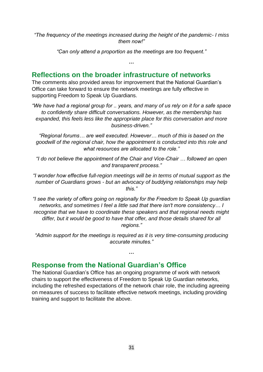*"The frequency of the meetings increased during the height of the pandemic- I miss them now!"*

*"Can only attend a proportion as the meetings are too frequent."*

*…*

### **Reflections on the broader infrastructure of networks**

The comments also provided areas for improvement that the National Guardian's Office can take forward to ensure the network meetings are fully effective in supporting Freedom to Speak Up Guardians.

*"We have had a regional group for .. years, and many of us rely on it for a safe space to confidently share difficult conversations. However, as the membership has expanded, this feels less like the appropriate place for this conversation and more business-driven."*

*"Regional forums… are well executed. However… much of this is based on the goodwill of the regional chair, how the appointment is conducted into this role and what resources are allocated to the role."*

*"I do not believe the appointment of the Chair and Vice-Chair … followed an open and transparent process."*

*"I wonder how effective full-region meetings will be in terms of mutual support as the number of Guardians grows - but an advocacy of buddying relationships may help this."*

*"I see the variety of offers going on regionally for the Freedom to Speak Up guardian networks, and sometimes I feel a little sad that there isn't more consistency… I recognise that we have to coordinate these speakers and that regional needs might differ, but it would be good to have that offer, and those details shared for all regions."*

*"Admin support for the meetings is required as it is very time-consuming producing accurate minutes."*

**…**

### **Response from the National Guardian's Office**

The National Guardian's Office has an ongoing programme of work with network chairs to support the effectiveness of Freedom to Speak Up Guardian networks, including the refreshed expectations of the network chair role, the including agreeing on measures of success to facilitate effective network meetings, including providing training and support to facilitate the above.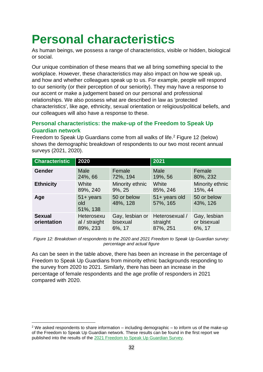# <span id="page-31-0"></span>**Personal characteristics**

As human beings, we possess a range of characteristics, visible or hidden, biological or social.

Our unique combination of these means that we all bring something special to the workplace. However, these characteristics may also impact on how we speak up, and how and whether colleagues speak up to us. For example, people will respond to our seniority (or their perception of our seniority). They may have a response to our accent or make a judgement based on our personal and professional relationships. We also possess what are described in law as 'protected characteristics', like age, ethnicity, sexual orientation or religious/political beliefs, and our colleagues will also have a response to these.

#### **Personal characteristics: the make-up of the Freedom to Speak Up Guardian network**

Freedom to Speak Up Guardians come from all walks of life.<sup>2</sup> Figure 12 (below) shows the demographic breakdown of respondents to our two most recent annual surveys (2021, 2020).

| <b>Characteristic</b>        | 2020                                    |                                       | 2021                                   |                                       |  |
|------------------------------|-----------------------------------------|---------------------------------------|----------------------------------------|---------------------------------------|--|
| Gender                       | <b>Male</b><br>24%, 66                  | Female<br>72%, 194                    | <b>Male</b><br>19%, 56                 | Female<br>80%, 232                    |  |
| <b>Ethnicity</b>             | White<br>89%, 240                       | Minority ethnic<br>9%, 25             | White<br>85%, 246                      | Minority ethnic<br>15%, 44            |  |
| Age                          | $51 +$ years<br>old<br>51%, 138         | 50 or below<br>48%, 128               | 51+ years old<br>57%, 165              | 50 or below<br>43%, 126               |  |
| <b>Sexual</b><br>orientation | Heterosexu<br>al / straight<br>89%, 233 | Gay, lesbian or<br>bisexual<br>6%, 17 | Heterosexual /<br>straight<br>87%, 251 | Gay, lesbian<br>or bisexual<br>6%, 17 |  |

*Figure 12: Breakdown of respondents to the 2020 and 2021 Freedom to Speak Up Guardian survey: percentage and actual figure*

As can be seen in the table above, there has been an increase in the percentage of Freedom to Speak Up Guardians from minority ethnic backgrounds responding to the survey from 2020 to 2021. Similarly, there has been an increase in the percentage of female respondents and the age profile of responders in 2021 compared with 2020.

<sup>2</sup> We asked respondents to share information – including demographic – to inform us of the make-up of the Freedom to Speak Up Guardian network. These results can be found in the first report we published into the results of the [2021 Freedom to Speak Up Guardian Survey.](https://nationalguardian.org.uk/wp-content/uploads/2022/03/2021-FTSUGuardian-Survey-Report.pdf)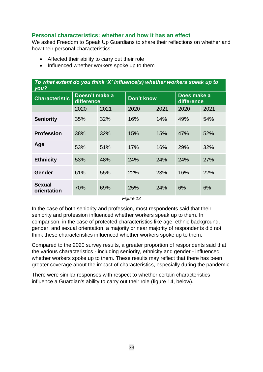#### **Personal characteristics: whether and how it has an effect**

We asked Freedom to Speak Up Guardians to share their reflections on whether and how their personal characteristics:

- Affected their ability to carry out their role
- Influenced whether workers spoke up to them

| To what extent do you think 'X' influence(s) whether workers speak up to<br>you? |                              |      |                   |      |                           |            |  |  |  |
|----------------------------------------------------------------------------------|------------------------------|------|-------------------|------|---------------------------|------------|--|--|--|
| <b>Characteristic</b>                                                            | Doesn't make a<br>difference |      | <b>Don't know</b> |      | Does make a<br>difference |            |  |  |  |
|                                                                                  | 2020                         | 2021 | 2020              | 2021 | 2020                      | 2021       |  |  |  |
| <b>Seniority</b>                                                                 | 35%                          | 32%  | 16%               | 14%  | 49%                       | 54%        |  |  |  |
| <b>Profession</b>                                                                | 38%                          | 32%  | 15%               | 15%  | 47%                       | 52%        |  |  |  |
| Age                                                                              | 53%                          | 51%  | 17%               | 16%  | 29%                       | 32%        |  |  |  |
| <b>Ethnicity</b>                                                                 | 53%                          | 48%  | 24%               | 24%  | 24%                       | <b>27%</b> |  |  |  |
| <b>Gender</b>                                                                    | 61%                          | 55%  | 22%               | 23%  | 16%                       | 22%        |  |  |  |
| <b>Sexual</b><br>orientation                                                     | 70%                          | 69%  | 25%               | 24%  | 6%                        | 6%         |  |  |  |

*Figure 13*

In the case of both seniority and profession, most respondents said that their seniority and profession influenced whether workers speak up to them. In comparison, in the case of protected characteristics like age, ethnic background, gender, and sexual orientation, a majority or near majority of respondents did not think these characteristics influenced whether workers spoke up to them.

Compared to the 2020 survey results, a greater proportion of respondents said that the various characteristics - including seniority, ethnicity and gender - influenced whether workers spoke up to them. These results may reflect that there has been greater coverage about the impact of characteristics, especially during the pandemic.

There were similar responses with respect to whether certain characteristics influence a Guardian's ability to carry out their role (figure 14, below).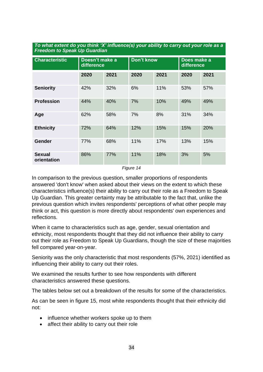| <b>Characteristic</b>        | Doesn't make a<br>difference |      | <b>Don't know</b> |      | Does make a<br>difference |      |  |  |
|------------------------------|------------------------------|------|-------------------|------|---------------------------|------|--|--|
|                              | 2020                         | 2021 | 2020              | 2021 | 2020                      | 2021 |  |  |
| <b>Seniority</b>             | 42%                          | 32%  | 6%                | 11%  | 53%                       | 57%  |  |  |
| <b>Profession</b>            | 44%                          | 40%  | 7%                | 10%  | 49%                       | 49%  |  |  |
| Age                          | 62%                          | 58%  | 7%                | 8%   | 31%                       | 34%  |  |  |
| <b>Ethnicity</b>             | 72%                          | 64%  | 12%               | 15%  | 15%                       | 20%  |  |  |
| <b>Gender</b>                | 77%                          | 68%  | 11%               | 17%  | 13%                       | 15%  |  |  |
| <b>Sexual</b><br>orientation | 86%                          | 77%  | 11%               | 18%  | 3%                        | 5%   |  |  |

#### *To what extent do you think 'X' influence(s) your ability to carry out your role as a Freedom to Speak Up Guardian*

*Figure 14*

In comparison to the previous question, smaller proportions of respondents answered 'don't know' when asked about their views on the extent to which these characteristics influence(s) their ability to carry out their role as a Freedom to Speak Up Guardian. This greater certainty may be attributable to the fact that, unlike the previous question which invites respondents' perceptions of what other people may think or act, this question is more directly about respondents' own experiences and reflections.

When it came to characteristics such as age, gender, sexual orientation and ethnicity, most respondents thought that they did not influence their ability to carry out their role as Freedom to Speak Up Guardians, though the size of these majorities fell compared year-on-year.

Seniority was the only characteristic that most respondents (57%, 2021) identified as influencing their ability to carry out their roles.

We examined the results further to see how respondents with different characteristics answered these questions.

The tables below set out a breakdown of the results for some of the characteristics.

As can be seen in figure 15, most white respondents thought that their ethnicity did not:

- influence whether workers spoke up to them
- affect their ability to carry out their role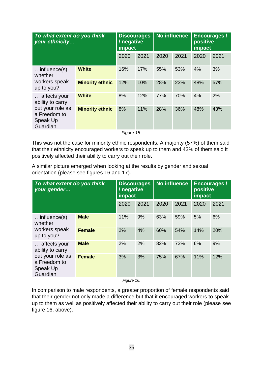| To what extent do you think<br>your ethnicity                                                |                        |      | <b>Discourages</b><br>/ negative<br>impact |      | <b>No influence</b> |      | <b>Encourages /</b><br>positive<br>impact |  |
|----------------------------------------------------------------------------------------------|------------------------|------|--------------------------------------------|------|---------------------|------|-------------------------------------------|--|
|                                                                                              |                        | 2020 | 2021                                       | 2020 | 2021                | 2020 | 2021                                      |  |
| $$ influence $(s)$<br>whether<br>workers speak<br>up to you?                                 | <b>White</b>           | 16%  | 17%                                        | 55%  | 53%                 | 4%   | 3%                                        |  |
|                                                                                              | <b>Minority ethnic</b> | 12%  | 10%                                        | 28%  | 23%                 | 48%  | 57%                                       |  |
| affects your<br>ability to carry<br>out your role as<br>a Freedom to<br>Speak Up<br>Guardian | <b>White</b>           | 8%   | 12%                                        | 77%  | 70%                 | 4%   | 2%                                        |  |
|                                                                                              | <b>Minority ethnic</b> | 8%   | 11%                                        | 28%  | 36%                 | 48%  | 43%                                       |  |

*Figure 15.* 

This was not the case for minority ethnic respondents. A majority (57%) of them said that their ethnicity encouraged workers to speak up to them and 43% of them said it positively affected their ability to carry out their role.

A similar picture emerged when looking at the results by gender and sexual orientation (please see figures 16 and 17).

|               |     |      | <b>No influence</b>                      |      | Encourages /<br>positive<br>impact |      |
|---------------|-----|------|------------------------------------------|------|------------------------------------|------|
|               |     | 2021 | 2020                                     | 2021 | 2020                               | 2021 |
| <b>Male</b>   | 11% | 9%   | 63%                                      | 59%  | 5%                                 | 6%   |
| <b>Female</b> | 2%  | 4%   | 60%                                      | 54%  | 14%                                | 20%  |
| <b>Male</b>   | 2%  | 2%   | 82%                                      | 73%  | 6%                                 | 9%   |
| <b>Female</b> | 3%  | 3%   | 75%                                      | 67%  | 11%                                | 12%  |
|               |     | 2020 | impact<br>$F: \ldots \rightarrow \wedge$ |      |                                    |      |

*Figure 16.* 

In comparison to male respondents, a greater proportion of female respondents said that their gender not only made a difference but that it encouraged workers to speak up to them as well as positively affected their ability to carry out their role (please see figure 16. above).